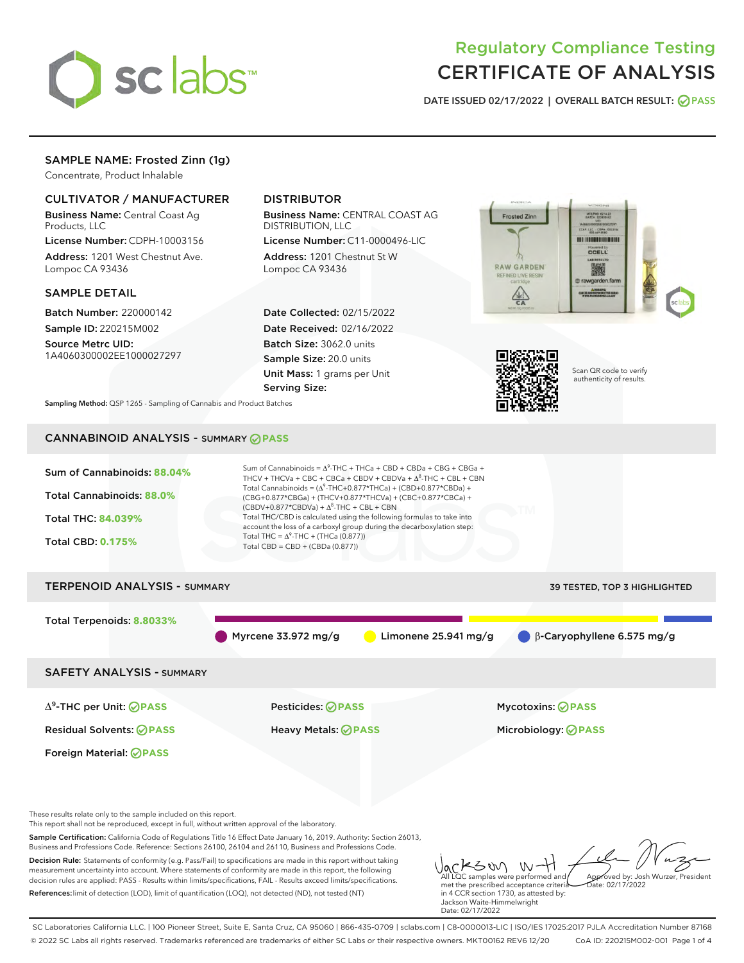

# Regulatory Compliance Testing CERTIFICATE OF ANALYSIS

DATE ISSUED 02/17/2022 | OVERALL BATCH RESULT: @ PASS

# SAMPLE NAME: Frosted Zinn (1g)

Concentrate, Product Inhalable

# CULTIVATOR / MANUFACTURER

Business Name: Central Coast Ag Products, LLC

License Number: CDPH-10003156 Address: 1201 West Chestnut Ave. Lompoc CA 93436

#### SAMPLE DETAIL

Batch Number: 220000142 Sample ID: 220215M002 Source Metrc UID:

1A4060300002EE1000027297

# DISTRIBUTOR

Business Name: CENTRAL COAST AG DISTRIBUTION, LLC

License Number: C11-0000496-LIC Address: 1201 Chestnut St W Lompoc CA 93436

Date Collected: 02/15/2022 Date Received: 02/16/2022 Batch Size: 3062.0 units Sample Size: 20.0 units Unit Mass: 1 grams per Unit Serving Size:





Scan QR code to verify authenticity of results.

Sampling Method: QSP 1265 - Sampling of Cannabis and Product Batches

# CANNABINOID ANALYSIS - SUMMARY **PASS**



References:limit of detection (LOD), limit of quantification (LOQ), not detected (ND), not tested (NT)

met the prescribed acceptance criteria in 4 CCR section 1730, as attested by: Jackson Waite-Himmelwright Date: 02/17/2022 Date: 02/17/2022

SC Laboratories California LLC. | 100 Pioneer Street, Suite E, Santa Cruz, CA 95060 | 866-435-0709 | sclabs.com | C8-0000013-LIC | ISO/IES 17025:2017 PJLA Accreditation Number 87168 © 2022 SC Labs all rights reserved. Trademarks referenced are trademarks of either SC Labs or their respective owners. MKT00162 REV6 12/20 CoA ID: 220215M002-001 Page 1 of 4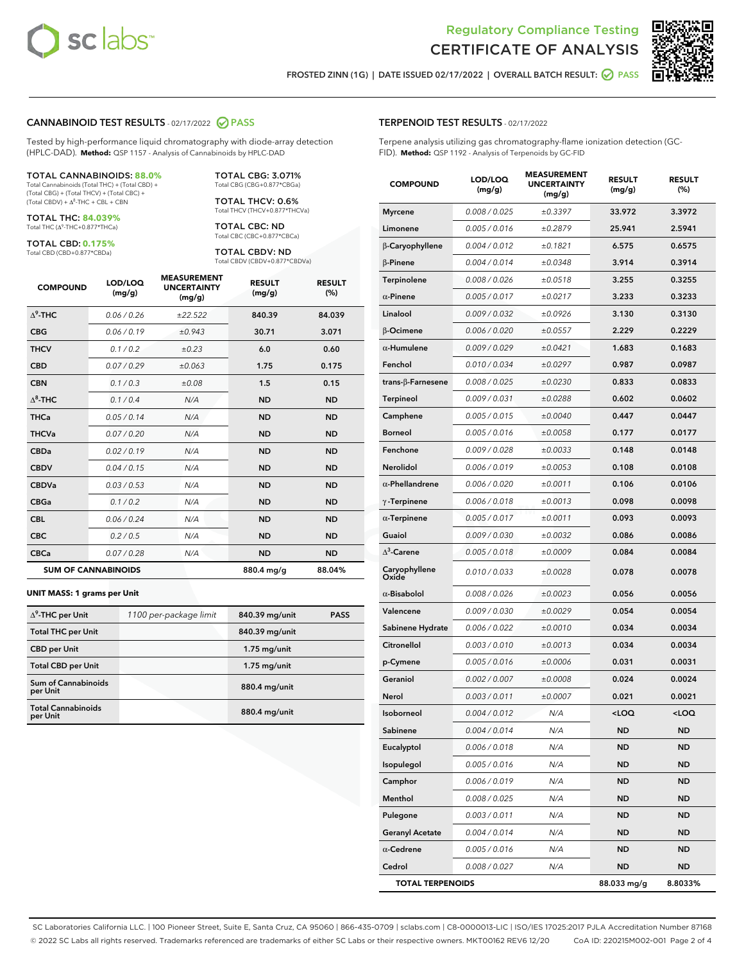



FROSTED ZINN (1G) | DATE ISSUED 02/17/2022 | OVERALL BATCH RESULT:  $\bigcirc$  PASS

#### CANNABINOID TEST RESULTS - 02/17/2022 2 PASS

Tested by high-performance liquid chromatography with diode-array detection (HPLC-DAD). **Method:** QSP 1157 - Analysis of Cannabinoids by HPLC-DAD

#### TOTAL CANNABINOIDS: **88.0%**

Total Cannabinoids (Total THC) + (Total CBD) + (Total CBG) + (Total THCV) + (Total CBC) +  $(Total CBDV) +  $\Delta^8$ -THC + CBL + CBN$ 

TOTAL THC: **84.039%** Total THC (Δ<sup>9</sup>-THC+0.877\*THCa)

TOTAL CBD: **0.175%** Total CBD (CBD+0.877\*CBDa)

TOTAL CBG: 3.071% Total CBG (CBG+0.877\*CBGa)

TOTAL THCV: 0.6% Total THCV (THCV+0.877\*THCVa)

TOTAL CBC: ND Total CBC (CBC+0.877\*CBCa)

TOTAL CBDV: ND Total CBDV (CBDV+0.877\*CBDVa)

| <b>COMPOUND</b>            | LOD/LOQ<br>(mg/g) | <b>MEASUREMENT</b><br><b>UNCERTAINTY</b><br>(mg/g) | <b>RESULT</b><br>(mg/g) | <b>RESULT</b><br>(%) |
|----------------------------|-------------------|----------------------------------------------------|-------------------------|----------------------|
| $\Lambda^9$ -THC           | 0.06 / 0.26       | ±22.522                                            | 840.39                  | 84.039               |
| <b>CBG</b>                 | 0.06 / 0.19       | ±0.943                                             | 30.71                   | 3.071                |
| <b>THCV</b>                | 0.1/0.2           | ±0.23                                              | 6.0                     | 0.60                 |
| <b>CBD</b>                 | 0.07/0.29         | ±0.063                                             | 1.75                    | 0.175                |
| <b>CBN</b>                 | 0.1 / 0.3         | ±0.08                                              | 1.5                     | 0.15                 |
| $\Delta^8$ -THC            | 0.1 / 0.4         | N/A                                                | <b>ND</b>               | <b>ND</b>            |
| <b>THCa</b>                | 0.05/0.14         | N/A                                                | <b>ND</b>               | <b>ND</b>            |
| <b>THCVa</b>               | 0.07/0.20         | N/A                                                | <b>ND</b>               | <b>ND</b>            |
| <b>CBDa</b>                | 0.02/0.19         | N/A                                                | <b>ND</b>               | <b>ND</b>            |
| <b>CBDV</b>                | 0.04 / 0.15       | N/A                                                | <b>ND</b>               | <b>ND</b>            |
| <b>CBDVa</b>               | 0.03/0.53         | N/A                                                | <b>ND</b>               | <b>ND</b>            |
| <b>CBGa</b>                | 0.1/0.2           | N/A                                                | <b>ND</b>               | <b>ND</b>            |
| <b>CBL</b>                 | 0.06 / 0.24       | N/A                                                | <b>ND</b>               | <b>ND</b>            |
| <b>CBC</b>                 | 0.2 / 0.5         | N/A                                                | <b>ND</b>               | <b>ND</b>            |
| <b>CBCa</b>                | 0.07/0.28         | N/A                                                | <b>ND</b>               | <b>ND</b>            |
| <b>SUM OF CANNABINOIDS</b> |                   |                                                    | 880.4 mg/g              | 88.04%               |

#### **UNIT MASS: 1 grams per Unit**

| $\Delta^9$ -THC per Unit              | 1100 per-package limit | 840.39 mg/unit | <b>PASS</b> |
|---------------------------------------|------------------------|----------------|-------------|
| <b>Total THC per Unit</b>             |                        | 840.39 mg/unit |             |
| <b>CBD</b> per Unit                   |                        | $1.75$ mg/unit |             |
| <b>Total CBD per Unit</b>             |                        | $1.75$ mg/unit |             |
| Sum of Cannabinoids<br>per Unit       |                        | 880.4 mg/unit  |             |
| <b>Total Cannabinoids</b><br>per Unit |                        | 880.4 mg/unit  |             |

#### TERPENOID TEST RESULTS - 02/17/2022

Terpene analysis utilizing gas chromatography-flame ionization detection (GC-FID). **Method:** QSP 1192 - Analysis of Terpenoids by GC-FID

| <b>COMPOUND</b>         | LOD/LOQ<br>(mg/g) | <b>MEASUREMENT</b><br><b>UNCERTAINTY</b><br>(mg/g) | <b>RESULT</b><br>(mg/g)                         | <b>RESULT</b><br>(%) |
|-------------------------|-------------------|----------------------------------------------------|-------------------------------------------------|----------------------|
| <b>Myrcene</b>          | 0.008 / 0.025     | ±0.3397                                            | 33.972                                          | 3.3972               |
| Limonene                | 0.005 / 0.016     | ±0.2879                                            | 25.941                                          | 2.5941               |
| β-Caryophyllene         | 0.004 / 0.012     | ±0.1821                                            | 6.575                                           | 0.6575               |
| $\beta$ -Pinene         | 0.004 / 0.014     | ±0.0348                                            | 3.914                                           | 0.3914               |
| Terpinolene             | 0.008 / 0.026     | ±0.0518                                            | 3.255                                           | 0.3255               |
| $\alpha$ -Pinene        | 0.005 / 0.017     | ±0.0217                                            | 3.233                                           | 0.3233               |
| Linalool                | 0.009 / 0.032     | ±0.0926                                            | 3.130                                           | 0.3130               |
| β-Ocimene               | 0.006 / 0.020     | ±0.0557                                            | 2.229                                           | 0.2229               |
| $\alpha$ -Humulene      | 0.009/0.029       | ±0.0421                                            | 1.683                                           | 0.1683               |
| Fenchol                 | 0.010 / 0.034     | ±0.0297                                            | 0.987                                           | 0.0987               |
| trans-β-Farnesene       | 0.008 / 0.025     | ±0.0230                                            | 0.833                                           | 0.0833               |
| Terpineol               | 0.009 / 0.031     | ±0.0288                                            | 0.602                                           | 0.0602               |
| Camphene                | 0.005 / 0.015     | ±0.0040                                            | 0.447                                           | 0.0447               |
| <b>Borneol</b>          | 0.005 / 0.016     | ±0.0058                                            | 0.177                                           | 0.0177               |
| Fenchone                | 0.009 / 0.028     | ±0.0033                                            | 0.148                                           | 0.0148               |
| Nerolidol               | 0.006 / 0.019     | ±0.0053                                            | 0.108                                           | 0.0108               |
| $\alpha$ -Phellandrene  | 0.006 / 0.020     | ±0.0011                                            | 0.106                                           | 0.0106               |
| $\gamma$ -Terpinene     | 0.006 / 0.018     | ±0.0013                                            | 0.098                                           | 0.0098               |
| $\alpha$ -Terpinene     | 0.005 / 0.017     | ±0.0011                                            | 0.093                                           | 0.0093               |
| Guaiol                  | 0.009 / 0.030     | ±0.0032                                            | 0.086                                           | 0.0086               |
| $\Delta^3$ -Carene      | 0.005 / 0.018     | ±0.0009                                            | 0.084                                           | 0.0084               |
| Caryophyllene<br>Oxide  | 0.010 / 0.033     | ±0.0028                                            | 0.078                                           | 0.0078               |
| $\alpha$ -Bisabolol     | 0.008 / 0.026     | ±0.0023                                            | 0.056                                           | 0.0056               |
| Valencene               | 0.009 / 0.030     | ±0.0029                                            | 0.054                                           | 0.0054               |
| Sabinene Hydrate        | 0.006 / 0.022     | ±0.0010                                            | 0.034                                           | 0.0034               |
| Citronellol             | 0.003 / 0.010     | ±0.0013                                            | 0.034                                           | 0.0034               |
| p-Cymene                | 0.005 / 0.016     | ±0.0006                                            | 0.031                                           | 0.0031               |
| Geraniol                | 0.002 / 0.007     | ±0.0008                                            | 0.024                                           | 0.0024               |
| Nerol                   | 0.003 / 0.011     | ±0.0007                                            | 0.021                                           | 0.0021               |
| Isoborneol              | 0.004 / 0.012     | N/A                                                | <loq< th=""><th><loq< th=""></loq<></th></loq<> | <loq< th=""></loq<>  |
| Sabinene                | 0.004 / 0.014     | N/A                                                | ND                                              | ND                   |
| Eucalyptol              | 0.006 / 0.018     | N/A                                                | ND                                              | ND                   |
| Isopulegol              | 0.005 / 0.016     | N/A                                                | ND                                              | ND                   |
| Camphor                 | 0.006 / 0.019     | N/A                                                | ND                                              | ND                   |
| Menthol                 | 0.008 / 0.025     | N/A                                                | ND                                              | ND                   |
| Pulegone                | 0.003 / 0.011     | N/A                                                | <b>ND</b>                                       | ND                   |
| <b>Geranyl Acetate</b>  | 0.004 / 0.014     | N/A                                                | ND                                              | ND                   |
| $\alpha$ -Cedrene       | 0.005 / 0.016     | N/A                                                | ND                                              | ND                   |
| Cedrol                  | 0.008 / 0.027     | N/A                                                | ND                                              | ND                   |
| <b>TOTAL TERPENOIDS</b> |                   |                                                    | 88.033 mg/g                                     | 8.8033%              |

SC Laboratories California LLC. | 100 Pioneer Street, Suite E, Santa Cruz, CA 95060 | 866-435-0709 | sclabs.com | C8-0000013-LIC | ISO/IES 17025:2017 PJLA Accreditation Number 87168 © 2022 SC Labs all rights reserved. Trademarks referenced are trademarks of either SC Labs or their respective owners. MKT00162 REV6 12/20 CoA ID: 220215M002-001 Page 2 of 4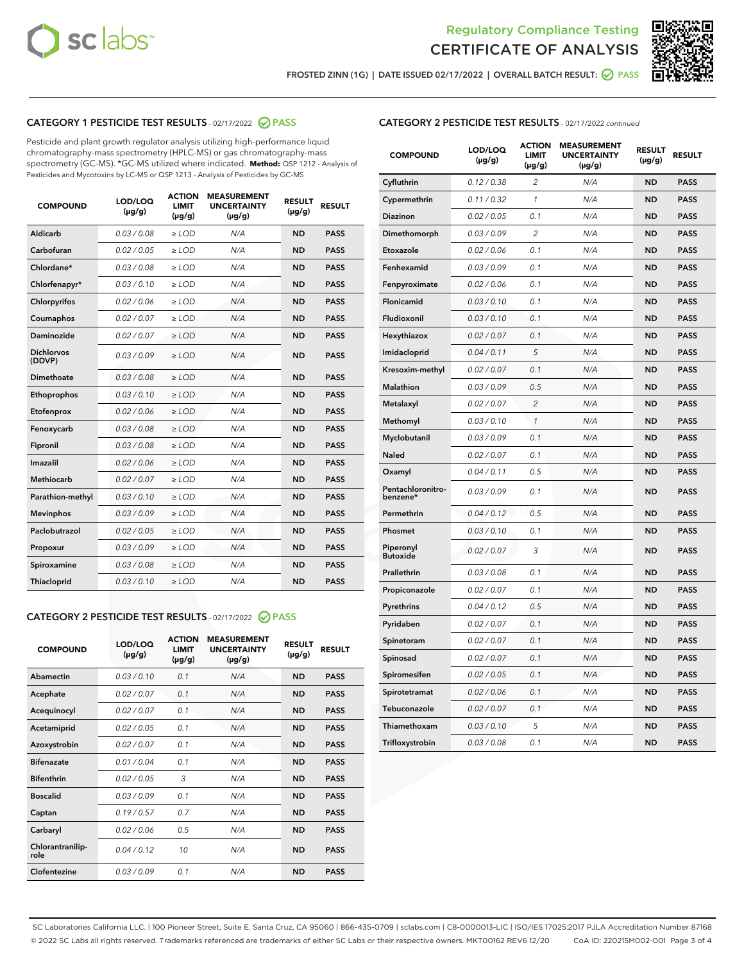



FROSTED ZINN (1G) | DATE ISSUED 02/17/2022 | OVERALL BATCH RESULT:  $\bigcirc$  PASS

# CATEGORY 1 PESTICIDE TEST RESULTS - 02/17/2022 2 PASS

Pesticide and plant growth regulator analysis utilizing high-performance liquid chromatography-mass spectrometry (HPLC-MS) or gas chromatography-mass spectrometry (GC-MS). \*GC-MS utilized where indicated. **Method:** QSP 1212 - Analysis of Pesticides and Mycotoxins by LC-MS or QSP 1213 - Analysis of Pesticides by GC-MS

| <b>COMPOUND</b>             | <b>LOD/LOQ</b><br>$(\mu g/g)$ | <b>ACTION</b><br><b>LIMIT</b><br>$(\mu g/g)$ | <b>MEASUREMENT</b><br><b>UNCERTAINTY</b><br>$(\mu g/g)$ | <b>RESULT</b><br>$(\mu g/g)$ | <b>RESULT</b> |
|-----------------------------|-------------------------------|----------------------------------------------|---------------------------------------------------------|------------------------------|---------------|
| Aldicarb                    | 0.03 / 0.08                   | $\ge$ LOD                                    | N/A                                                     | <b>ND</b>                    | <b>PASS</b>   |
| Carbofuran                  | 0.02 / 0.05                   | $\ge$ LOD                                    | N/A                                                     | <b>ND</b>                    | <b>PASS</b>   |
| Chlordane*                  | 0.03/0.08                     | $>$ LOD                                      | N/A                                                     | <b>ND</b>                    | <b>PASS</b>   |
| Chlorfenapyr*               | 0.03/0.10                     | $\ge$ LOD                                    | N/A                                                     | <b>ND</b>                    | <b>PASS</b>   |
| Chlorpyrifos                | 0.02/0.06                     | $>$ LOD                                      | N/A                                                     | <b>ND</b>                    | <b>PASS</b>   |
| Coumaphos                   | 0.02 / 0.07                   | $\ge$ LOD                                    | N/A                                                     | <b>ND</b>                    | <b>PASS</b>   |
| Daminozide                  | 0.02 / 0.07                   | $\ge$ LOD                                    | N/A                                                     | <b>ND</b>                    | <b>PASS</b>   |
| <b>Dichlorvos</b><br>(DDVP) | 0.03/0.09                     | $>$ LOD                                      | N/A                                                     | <b>ND</b>                    | <b>PASS</b>   |
| Dimethoate                  | 0.03 / 0.08                   | $>$ LOD                                      | N/A                                                     | <b>ND</b>                    | <b>PASS</b>   |
| Ethoprophos                 | 0.03/0.10                     | $>$ LOD                                      | N/A                                                     | <b>ND</b>                    | <b>PASS</b>   |
| Etofenprox                  | 0.02 / 0.06                   | $\ge$ LOD                                    | N/A                                                     | <b>ND</b>                    | <b>PASS</b>   |
| Fenoxycarb                  | 0.03/0.08                     | $>$ LOD                                      | N/A                                                     | <b>ND</b>                    | <b>PASS</b>   |
| Fipronil                    | 0.03 / 0.08                   | $\ge$ LOD                                    | N/A                                                     | <b>ND</b>                    | <b>PASS</b>   |
| <b>Imazalil</b>             | 0.02 / 0.06                   | $\ge$ LOD                                    | N/A                                                     | <b>ND</b>                    | <b>PASS</b>   |
| <b>Methiocarb</b>           | 0.02 / 0.07                   | $\ge$ LOD                                    | N/A                                                     | <b>ND</b>                    | <b>PASS</b>   |
| Parathion-methyl            | 0.03/0.10                     | $>$ LOD                                      | N/A                                                     | <b>ND</b>                    | <b>PASS</b>   |
| <b>Mevinphos</b>            | 0.03/0.09                     | $\ge$ LOD                                    | N/A                                                     | <b>ND</b>                    | <b>PASS</b>   |
| Paclobutrazol               | 0.02 / 0.05                   | $\ge$ LOD                                    | N/A                                                     | <b>ND</b>                    | <b>PASS</b>   |
| Propoxur                    | 0.03/0.09                     | $\ge$ LOD                                    | N/A                                                     | <b>ND</b>                    | <b>PASS</b>   |
| Spiroxamine                 | 0.03 / 0.08                   | $\ge$ LOD                                    | N/A                                                     | <b>ND</b>                    | <b>PASS</b>   |
| Thiacloprid                 | 0.03/0.10                     | $\ge$ LOD                                    | N/A                                                     | <b>ND</b>                    | <b>PASS</b>   |

# CATEGORY 2 PESTICIDE TEST RESULTS - 02/17/2022 @ PASS

| <b>COMPOUND</b>          | LOD/LOO<br>$(\mu g/g)$ | <b>ACTION</b><br>LIMIT<br>(µg/g) | <b>MEASUREMENT</b><br><b>UNCERTAINTY</b><br>$(\mu g/g)$ | <b>RESULT</b><br>$(\mu g/g)$ | <b>RESULT</b> |  |
|--------------------------|------------------------|----------------------------------|---------------------------------------------------------|------------------------------|---------------|--|
| Abamectin                | 0.03/0.10              | 0.1                              | N/A                                                     | <b>ND</b>                    | <b>PASS</b>   |  |
| Acephate                 | 0.02/0.07              | 0.1                              | N/A                                                     | <b>ND</b>                    | <b>PASS</b>   |  |
| Acequinocyl              | 0.02 / 0.07            | 0.1                              | N/A                                                     | <b>ND</b>                    | <b>PASS</b>   |  |
| Acetamiprid              | 0.02/0.05              | 0.1                              | N/A                                                     | <b>ND</b>                    | <b>PASS</b>   |  |
| Azoxystrobin             | 0.02/0.07              | 0.1                              | N/A                                                     | <b>ND</b>                    | <b>PASS</b>   |  |
| <b>Bifenazate</b>        | 0.01/0.04              | 0.1                              | N/A                                                     | <b>ND</b>                    | <b>PASS</b>   |  |
| <b>Bifenthrin</b>        | 0.02/0.05              | 3                                | N/A                                                     | <b>ND</b>                    | <b>PASS</b>   |  |
| <b>Boscalid</b>          | 0.03/0.09              | 0.1                              | N/A                                                     | <b>ND</b>                    | <b>PASS</b>   |  |
| Captan                   | 0.19/0.57              | 0.7                              | N/A                                                     | <b>ND</b>                    | <b>PASS</b>   |  |
| Carbaryl                 | 0.02/0.06              | 0.5                              | N/A                                                     | <b>ND</b>                    | <b>PASS</b>   |  |
| Chlorantranilip-<br>role | 0.04/0.12              | 10                               | N/A                                                     | <b>ND</b>                    | <b>PASS</b>   |  |
| Clofentezine             | 0.03/0.09              | 0.1                              | N/A                                                     | <b>ND</b>                    | <b>PASS</b>   |  |

| <b>COMPOUND</b>               | LOD/LOQ<br>(µg/g) | <b>ACTION</b><br>LIMIT<br>(µg/g) | <b>MEASUREMENT</b><br><b>UNCERTAINTY</b><br>$(\mu g/g)$ | <b>RESULT</b><br>(µg/g) | <b>RESULT</b> |
|-------------------------------|-------------------|----------------------------------|---------------------------------------------------------|-------------------------|---------------|
| Cyfluthrin                    | 0.12 / 0.38       | 2                                | N/A                                                     | <b>ND</b>               | <b>PASS</b>   |
| Cypermethrin                  | 0.11 / 0.32       | 1                                | N/A                                                     | <b>ND</b>               | <b>PASS</b>   |
| Diazinon                      | 0.02 / 0.05       | 0.1                              | N/A                                                     | <b>ND</b>               | <b>PASS</b>   |
| Dimethomorph                  | 0.03 / 0.09       | 2                                | N/A                                                     | <b>ND</b>               | <b>PASS</b>   |
| Etoxazole                     | 0.02 / 0.06       | 0.1                              | N/A                                                     | <b>ND</b>               | <b>PASS</b>   |
| Fenhexamid                    | 0.03 / 0.09       | 0.1                              | N/A                                                     | <b>ND</b>               | <b>PASS</b>   |
| Fenpyroximate                 | 0.02 / 0.06       | 0.1                              | N/A                                                     | <b>ND</b>               | <b>PASS</b>   |
| Flonicamid                    | 0.03 / 0.10       | 0.1                              | N/A                                                     | <b>ND</b>               | <b>PASS</b>   |
| Fludioxonil                   | 0.03/0.10         | 0.1                              | N/A                                                     | <b>ND</b>               | <b>PASS</b>   |
| Hexythiazox                   | 0.02 / 0.07       | 0.1                              | N/A                                                     | <b>ND</b>               | <b>PASS</b>   |
| Imidacloprid                  | 0.04 / 0.11       | 5                                | N/A                                                     | <b>ND</b>               | <b>PASS</b>   |
| Kresoxim-methyl               | 0.02 / 0.07       | 0.1                              | N/A                                                     | <b>ND</b>               | <b>PASS</b>   |
| <b>Malathion</b>              | 0.03 / 0.09       | 0.5                              | N/A                                                     | <b>ND</b>               | <b>PASS</b>   |
| Metalaxyl                     | 0.02 / 0.07       | $\overline{c}$                   | N/A                                                     | <b>ND</b>               | <b>PASS</b>   |
| Methomyl                      | 0.03 / 0.10       | $\mathcal{I}$                    | N/A                                                     | <b>ND</b>               | <b>PASS</b>   |
| Myclobutanil                  | 0.03 / 0.09       | 0.1                              | N/A                                                     | <b>ND</b>               | <b>PASS</b>   |
| <b>Naled</b>                  | 0.02 / 0.07       | 0.1                              | N/A                                                     | <b>ND</b>               | <b>PASS</b>   |
| Oxamyl                        | 0.04 / 0.11       | 0.5                              | N/A                                                     | <b>ND</b>               | <b>PASS</b>   |
| Pentachloronitro-<br>benzene* | 0.03 / 0.09       | 0.1                              | N/A                                                     | <b>ND</b>               | <b>PASS</b>   |
| Permethrin                    | 0.04 / 0.12       | 0.5                              | N/A                                                     | ND                      | <b>PASS</b>   |
| Phosmet                       | 0.03/0.10         | 0.1                              | N/A                                                     | <b>ND</b>               | <b>PASS</b>   |
| Piperonyl<br><b>Butoxide</b>  | 0.02 / 0.07       | 3                                | N/A                                                     | <b>ND</b>               | <b>PASS</b>   |
| Prallethrin                   | 0.03 / 0.08       | 0.1                              | N/A                                                     | <b>ND</b>               | <b>PASS</b>   |
| Propiconazole                 | 0.02 / 0.07       | 0.1                              | N/A                                                     | ND                      | <b>PASS</b>   |
| Pyrethrins                    | 0.04 / 0.12       | 0.5                              | N/A                                                     | <b>ND</b>               | <b>PASS</b>   |
| Pyridaben                     | 0.02 / 0.07       | 0.1                              | N/A                                                     | ND                      | <b>PASS</b>   |
| Spinetoram                    | 0.02 / 0.07       | 0.1                              | N/A                                                     | ND                      | <b>PASS</b>   |
| Spinosad                      | 0.02 / 0.07       | 0.1                              | N/A                                                     | <b>ND</b>               | <b>PASS</b>   |
| Spiromesifen                  | 0.02 / 0.05       | 0.1                              | N/A                                                     | <b>ND</b>               | <b>PASS</b>   |
| Spirotetramat                 | 0.02 / 0.06       | 0.1                              | N/A                                                     | <b>ND</b>               | <b>PASS</b>   |
| Tebuconazole                  | 0.02 / 0.07       | 0.1                              | N/A                                                     | ND                      | PASS          |
| Thiamethoxam                  | 0.03 / 0.10       | 5                                | N/A                                                     | <b>ND</b>               | <b>PASS</b>   |
| Trifloxystrobin               | 0.03 / 0.08       | 0.1                              | N/A                                                     | <b>ND</b>               | <b>PASS</b>   |

SC Laboratories California LLC. | 100 Pioneer Street, Suite E, Santa Cruz, CA 95060 | 866-435-0709 | sclabs.com | C8-0000013-LIC | ISO/IES 17025:2017 PJLA Accreditation Number 87168 © 2022 SC Labs all rights reserved. Trademarks referenced are trademarks of either SC Labs or their respective owners. MKT00162 REV6 12/20 CoA ID: 220215M002-001 Page 3 of 4